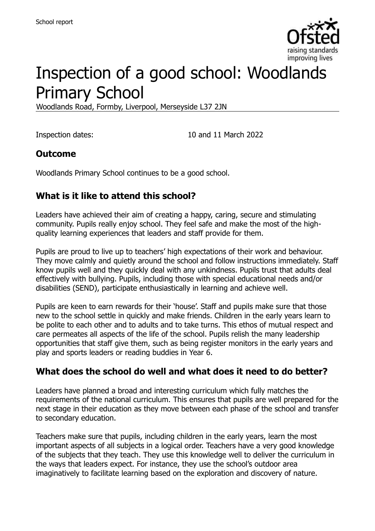

# Inspection of a good school: Woodlands Primary School

Woodlands Road, Formby, Liverpool, Merseyside L37 2JN

Inspection dates: 10 and 11 March 2022

#### **Outcome**

Woodlands Primary School continues to be a good school.

### **What is it like to attend this school?**

Leaders have achieved their aim of creating a happy, caring, secure and stimulating community. Pupils really enjoy school. They feel safe and make the most of the highquality learning experiences that leaders and staff provide for them.

Pupils are proud to live up to teachers' high expectations of their work and behaviour. They move calmly and quietly around the school and follow instructions immediately. Staff know pupils well and they quickly deal with any unkindness. Pupils trust that adults deal effectively with bullying. Pupils, including those with special educational needs and/or disabilities (SEND), participate enthusiastically in learning and achieve well.

Pupils are keen to earn rewards for their 'house'. Staff and pupils make sure that those new to the school settle in quickly and make friends. Children in the early years learn to be polite to each other and to adults and to take turns. This ethos of mutual respect and care permeates all aspects of the life of the school. Pupils relish the many leadership opportunities that staff give them, such as being register monitors in the early years and play and sports leaders or reading buddies in Year 6.

#### **What does the school do well and what does it need to do better?**

Leaders have planned a broad and interesting curriculum which fully matches the requirements of the national curriculum. This ensures that pupils are well prepared for the next stage in their education as they move between each phase of the school and transfer to secondary education.

Teachers make sure that pupils, including children in the early years, learn the most important aspects of all subjects in a logical order. Teachers have a very good knowledge of the subjects that they teach. They use this knowledge well to deliver the curriculum in the ways that leaders expect. For instance, they use the school's outdoor area imaginatively to facilitate learning based on the exploration and discovery of nature.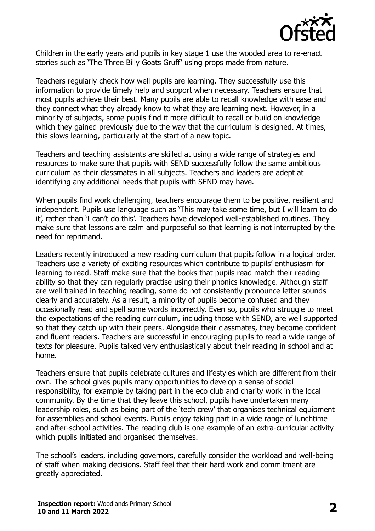

Children in the early years and pupils in key stage 1 use the wooded area to re-enact stories such as 'The Three Billy Goats Gruff' using props made from nature.

Teachers regularly check how well pupils are learning. They successfully use this information to provide timely help and support when necessary. Teachers ensure that most pupils achieve their best. Many pupils are able to recall knowledge with ease and they connect what they already know to what they are learning next. However, in a minority of subjects, some pupils find it more difficult to recall or build on knowledge which they gained previously due to the way that the curriculum is designed. At times, this slows learning, particularly at the start of a new topic.

Teachers and teaching assistants are skilled at using a wide range of strategies and resources to make sure that pupils with SEND successfully follow the same ambitious curriculum as their classmates in all subjects. Teachers and leaders are adept at identifying any additional needs that pupils with SEND may have.

When pupils find work challenging, teachers encourage them to be positive, resilient and independent. Pupils use language such as 'This may take some time, but I will learn to do it', rather than 'I can't do this'. Teachers have developed well-established routines. They make sure that lessons are calm and purposeful so that learning is not interrupted by the need for reprimand.

Leaders recently introduced a new reading curriculum that pupils follow in a logical order. Teachers use a variety of exciting resources which contribute to pupils' enthusiasm for learning to read. Staff make sure that the books that pupils read match their reading ability so that they can regularly practise using their phonics knowledge. Although staff are well trained in teaching reading, some do not consistently pronounce letter sounds clearly and accurately. As a result, a minority of pupils become confused and they occasionally read and spell some words incorrectly. Even so, pupils who struggle to meet the expectations of the reading curriculum, including those with SEND, are well supported so that they catch up with their peers. Alongside their classmates, they become confident and fluent readers. Teachers are successful in encouraging pupils to read a wide range of texts for pleasure. Pupils talked very enthusiastically about their reading in school and at home.

Teachers ensure that pupils celebrate cultures and lifestyles which are different from their own. The school gives pupils many opportunities to develop a sense of social responsibility, for example by taking part in the eco club and charity work in the local community. By the time that they leave this school, pupils have undertaken many leadership roles, such as being part of the 'tech crew' that organises technical equipment for assemblies and school events. Pupils enjoy taking part in a wide range of lunchtime and after-school activities. The reading club is one example of an extra-curricular activity which pupils initiated and organised themselves.

The school's leaders, including governors, carefully consider the workload and well-being of staff when making decisions. Staff feel that their hard work and commitment are greatly appreciated.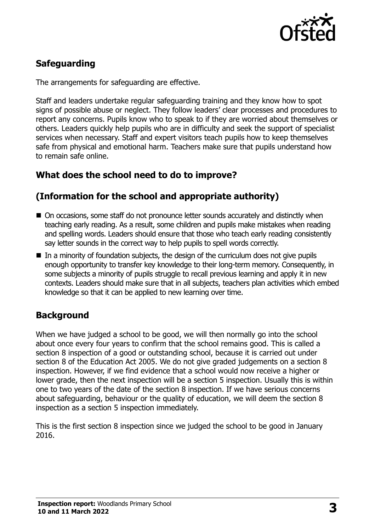

## **Safeguarding**

The arrangements for safeguarding are effective.

Staff and leaders undertake regular safeguarding training and they know how to spot signs of possible abuse or neglect. They follow leaders' clear processes and procedures to report any concerns. Pupils know who to speak to if they are worried about themselves or others. Leaders quickly help pupils who are in difficulty and seek the support of specialist services when necessary. Staff and expert visitors teach pupils how to keep themselves safe from physical and emotional harm. Teachers make sure that pupils understand how to remain safe online.

### **What does the school need to do to improve?**

#### **(Information for the school and appropriate authority)**

- On occasions, some staff do not pronounce letter sounds accurately and distinctly when teaching early reading. As a result, some children and pupils make mistakes when reading and spelling words. Leaders should ensure that those who teach early reading consistently say letter sounds in the correct way to help pupils to spell words correctly.
- In a minority of foundation subjects, the design of the curriculum does not give pupils enough opportunity to transfer key knowledge to their long-term memory. Consequently, in some subjects a minority of pupils struggle to recall previous learning and apply it in new contexts. Leaders should make sure that in all subjects, teachers plan activities which embed knowledge so that it can be applied to new learning over time.

### **Background**

When we have judged a school to be good, we will then normally go into the school about once every four years to confirm that the school remains good. This is called a section 8 inspection of a good or outstanding school, because it is carried out under section 8 of the Education Act 2005. We do not give graded judgements on a section 8 inspection. However, if we find evidence that a school would now receive a higher or lower grade, then the next inspection will be a section 5 inspection. Usually this is within one to two years of the date of the section 8 inspection. If we have serious concerns about safeguarding, behaviour or the quality of education, we will deem the section 8 inspection as a section 5 inspection immediately.

This is the first section 8 inspection since we judged the school to be good in January 2016.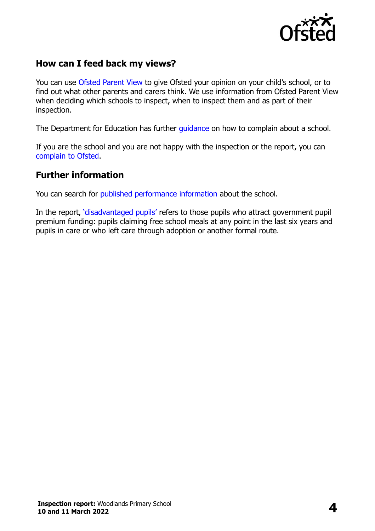

#### **How can I feed back my views?**

You can use [Ofsted Parent View](https://parentview.ofsted.gov.uk/) to give Ofsted your opinion on your child's school, or to find out what other parents and carers think. We use information from Ofsted Parent View when deciding which schools to inspect, when to inspect them and as part of their inspection.

The Department for Education has further quidance on how to complain about a school.

If you are the school and you are not happy with the inspection or the report, you can [complain to Ofsted.](https://www.gov.uk/complain-ofsted-report)

#### **Further information**

You can search for [published performance information](http://www.compare-school-performance.service.gov.uk/) about the school.

In the report, '[disadvantaged pupils](http://www.gov.uk/guidance/pupil-premium-information-for-schools-and-alternative-provision-settings)' refers to those pupils who attract government pupil premium funding: pupils claiming free school meals at any point in the last six years and pupils in care or who left care through adoption or another formal route.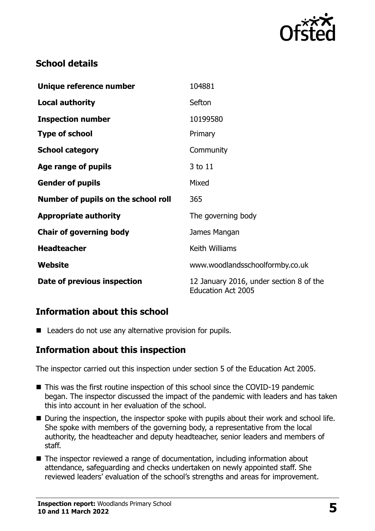

### **School details**

| Unique reference number             | 104881                                                               |
|-------------------------------------|----------------------------------------------------------------------|
| <b>Local authority</b>              | Sefton                                                               |
| <b>Inspection number</b>            | 10199580                                                             |
| <b>Type of school</b>               | Primary                                                              |
| <b>School category</b>              | Community                                                            |
| Age range of pupils                 | 3 to 11                                                              |
| <b>Gender of pupils</b>             | Mixed                                                                |
| Number of pupils on the school roll | 365                                                                  |
| <b>Appropriate authority</b>        | The governing body                                                   |
| <b>Chair of governing body</b>      | James Mangan                                                         |
| <b>Headteacher</b>                  | Keith Williams                                                       |
| Website                             | www.woodlandsschoolformby.co.uk                                      |
| Date of previous inspection         | 12 January 2016, under section 8 of the<br><b>Education Act 2005</b> |

### **Information about this school**

■ Leaders do not use any alternative provision for pupils.

### **Information about this inspection**

The inspector carried out this inspection under section 5 of the Education Act 2005.

- This was the first routine inspection of this school since the COVID-19 pandemic began. The inspector discussed the impact of the pandemic with leaders and has taken this into account in her evaluation of the school.
- During the inspection, the inspector spoke with pupils about their work and school life. She spoke with members of the governing body, a representative from the local authority, the headteacher and deputy headteacher, senior leaders and members of staff.
- The inspector reviewed a range of documentation, including information about attendance, safeguarding and checks undertaken on newly appointed staff. She reviewed leaders' evaluation of the school's strengths and areas for improvement.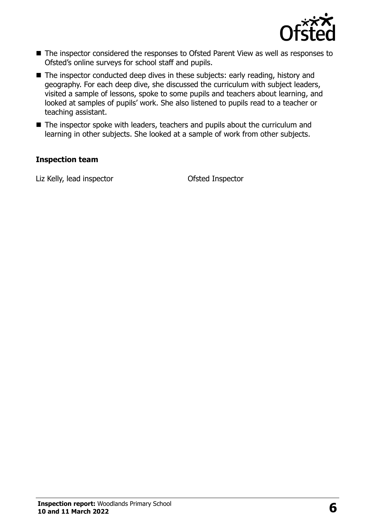

- The inspector considered the responses to Ofsted Parent View as well as responses to Ofsted's online surveys for school staff and pupils.
- The inspector conducted deep dives in these subjects: early reading, history and geography. For each deep dive, she discussed the curriculum with subject leaders, visited a sample of lessons, spoke to some pupils and teachers about learning, and looked at samples of pupils' work. She also listened to pupils read to a teacher or teaching assistant.
- The inspector spoke with leaders, teachers and pupils about the curriculum and learning in other subjects. She looked at a sample of work from other subjects.

#### **Inspection team**

Liz Kelly, lead inspector **CELL COLLEGATE:** Ofsted Inspector